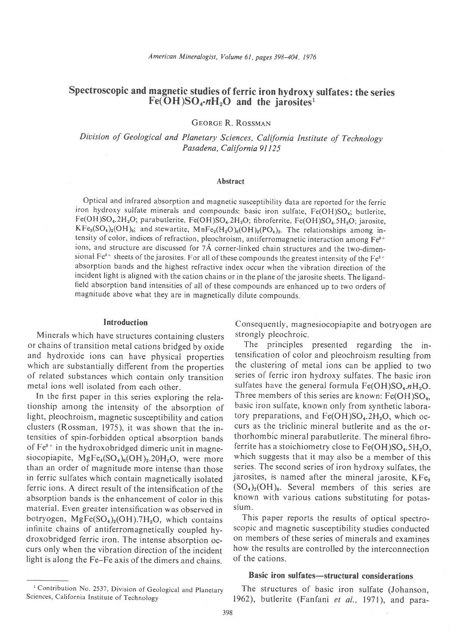# Spectroscopic and magnetic studies of ferric iron hydroxy sulfates: the series  $Fe(OH)SO<sub>4</sub>·nH<sub>2</sub>O$  and the jarosites<sup>1</sup>

GEORGE R. ROSSMAN

Division of Geological and Planetary Sciences, California Institute of Technology Pasadena, California 91125

#### Abstract

Optical and infrared absorption and magnetic susceptibility data are reported for the ferric iron hydroxy sulfate minerals and compounds: basic iron sulfate, Fe(OH)SO<sub>4</sub>; butlerite,  $Fe(OH)SO<sub>4</sub>.2H<sub>2</sub>O$ ; parabutlerite,  $Fe(OH)SO<sub>4</sub>.2H<sub>2</sub>O$ ; fibroferrite,  $Fe(OH)SO<sub>4</sub>.5H<sub>2</sub>O$ ; jarosite,  $KF_{3}(SO_{4})_{2}(OH)_{6}$ ; and stewartite,  $MnFe_{2}(H_{2}O)_{6}(OH)_{2}(PO_{4})_{2}$ . The relationships among intensity of color, indices of refraction, pleochroism, antiferromagnetic interaction among Fe<sup>3+</sup> ions, and structure are discussed for 7Å corner-linked chain structures and the two-dimensional Fe<sup>3+</sup> sheets of the jarosites. For all of these compounds the greatest intensity of the Fe<sup>3+</sup> absorption bands and the highest refractive index occur when the vibration direction of the incident light is aligned with the cation chains or in the plane of the jarosite sheets. The ligandfield absorption band intensities of all of these compounds are enhanced up to two orders of magnitude above what they are in magnetically dilute compounds.

#### Introduction

Minerals which have structures containing clusters or chains of transition metal cations bridged by oxide and hydroxide ions can have physical properties which are substantially different from the properties of related substances which contain only transition metal ions well isolated from each other.

In the first paper in this series exploring the relationship among the intensity of the absorption of light, pleochroism, magnetic susceptibility and cation clusters (Rossman, 1975), it was shown that the intensities of spin-forbidden optical absorption bands of  $Fe<sup>3+</sup>$  in the hydroxobridged dimeric unit in magnesiocopiapite,  $MgFe_4(SO_4)_6(OH)_2.20H_2O$ , were more than an order of magnitude more intense than those in ferric sulfates which contain magnetically isolated ferric ions. A direct result of the intensification of the absorption bands is the enhancement of color in this material. Even greater intensification was observed in botryogen,  $MgFe(SO<sub>4</sub>)<sub>2</sub>(OH)$ .7H<sub>2</sub>O, which contains infinite chains of antiferromagnetically coupled hydroxobridged ferric iron. The intense absorption occurs only when the vibration direction of the incident light is along the Fe-Fe axis of the dimers and chains.

Consequently, magnesiocopiapite and botryogen are strongly pleochroic.

The principles presented regarding the intensification of color and pleochroism resulting from the clustering of metal ions can be applied to two series of ferric iron hydroxy sulfates. The basic iron sulfates have the general formula  $Fe(OH)SO<sub>4</sub>.nH<sub>2</sub>O$ . Three members of this series are known:  $Fe(OH)SO<sub>4</sub>$ , basic iron sulfate, known only from synthetic laboratory preparations, and  $Fe(OH)SO<sub>4</sub>$ .2H<sub>2</sub>O, which occurs as the triclinic mineral butlerite and as the orthorhombic mineral parabutlerite. The mineral fibroferrite has a stoichiometry close to  $Fe(OH)SO<sub>4</sub>$ .5H<sub>2</sub>O, which suggests that it may also be a member of this series. The second series of iron hydroxy sulfates, the jarosites, is named after the mineral jarosite, KFe<sub>a</sub>  $(SO<sub>4</sub>)<sub>2</sub>(OH)<sub>6</sub>$ . Several members of this series are known with various cations substituting for potassium.

This paper reports the results of optical spectroscopic and magnetic susceptibility studies conducted on members of these series of minerals and examines how the results are controlled by the interconnection of the cations.

#### Basic iron sulfates-structural considerations

<sup>1</sup> Contribution No. 2537, Division of Geological and Planetary The structures of basic iron sulfate (Johanson, Sciences, California Institute of Technology 1962). but lerite (Fanfani et al. 1971) and para-1962), butlerite (Fanfani et al., 1971), and para-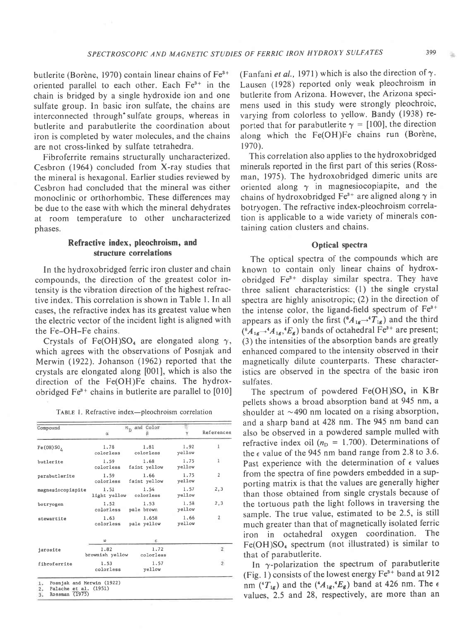butlerite (Borène, 1970) contain linear chains of  $Fe<sup>3+</sup>$ oriented parallel to each other. Each Fe<sup>3+</sup> in the chain is bridged by a single hydroxide ion and one sulfate group. In basic iron sulfate, the chains are interconnected through'sulfate groups, whereas in butlerite and parabutlerite the coordination about iron is completed by water molecules, and the chains are not cross-linked by sulfate tetrahedra.

Fibroferrite remains structurally uncharacterized. Cesbron (1964) concluded from X-ray studies that the mineral is hexagonal. Earlier studies reviewed by Cesbron had concluded that the mineral was either monoclinic or orthorhombic. These differences may be due to the ease with which the mineral dehydrates at room temperature to other uncharacterized phases.

# Refractive index, pleochroism, and structure correlations

In the hydroxobridged ferric iron cluster and chain compounds, the direction of the greatest color intensity is the vibration direction of the highest refractive index. This correlation is shown in Table l. In all cases, the refractive index has its greatest value when the electric vector of the incident light is aligned with the Fe-OH-Fe chains.

Crystals of Fe(OH)SO<sub>4</sub> are elongated along  $\gamma$ , which agrees with the observations of Posnjak and Merwin (1922). Johanson (1962) reported that the crystals are elongated along [001], which is also the direction of the Fe(OH)Fe chains. The hydroxobridged  $Fe<sup>3+</sup>$  chains in butlerite are parallel to [010]

TABLE 1. Refractive index-pleochroism correlation

| Compound               | $n_n$ and Color         |                      |                |                         |
|------------------------|-------------------------|----------------------|----------------|-------------------------|
|                        | ä                       |                      |                | References              |
| Fe(OH) SO <sub>2</sub> | 1.78<br>colorless       | 1.81<br>colorless    | 1.92<br>yellow | $\mathbf{I}$            |
| butlerite              | 1.59<br>colorless       | 1.68<br>faint yellow | 1.75<br>yellow | ı                       |
| parabutlerite          | 1.59<br>colorless       | 1.66<br>faint yellow | 1.75<br>yellow | $\overline{\mathbf{2}}$ |
| magnesiocopiapite      | 1.51<br>light yellow    | 1.54<br>colorless    | 1.57<br>yellow | 2, 3                    |
| botryogen              | 1.52<br>colorless       | 1.53<br>pale brown   | 1.58<br>yellow | 2,3                     |
| stewartite             | 1.63<br>colorless       | 1.658<br>pale yellow | 1.66<br>yellow | $\overline{2}$          |
|                        | ω                       | Ε.                   |                |                         |
| jarosite               | 1.82<br>brownish yellow | 1.72<br>colorless    |                | $\mathbf{2}^{\prime}$   |
| fibroferrite           | 1.53<br>colorless       | 1.57<br>yellow       |                | $\overline{2}$          |

(Fanfani et al., 1971) which is also the direction of  $\gamma$ . Lausen (1928) reported only weak pleochroism in butlerite from Arizona. However, the Arizona specimens used in this study were strongly pleochroic, varying from colorless to yellow. Bandy (1938) reported that for parabutlerite  $\gamma = [100]$ , the direction along which the Fe(OH)Fe chains run (Borène, 1970).

This correlation also applies to the hydroxobridged minerals reported in the first part of this series (Rossman, 1975). The hydroxobridged dimeric units are oriented along  $\gamma$  in magnesiocopiapite, and the chains of hydroxobridged Fe<sup>3+</sup> are aligned along  $\gamma$  in botryogen. The refractive index-pleochroism correlation is applicable to a wide variety of minerals containing cation clusters and chains.

#### Optical spectra

The optical spectra of the compounds which are known to contain only linear chains of hydroxobridged Fe<sup>3+</sup> display similar spectra. They have three salient characteristics:  $(1)$  the single crystal spectra are highly anisotropic; (2) in the direction of the intense color, the ligand-field spectrum of  $Fe<sup>3+</sup>$ appears as if only the first  $({}^{6}A_{1g} {\rightarrow} {}^{4}T_{1g})$  and the third  $({}^{6}A_{1g} {\rightarrow} {}^{4}A_{1g}, {}^{4}E_{g})$  bands of octahedral Fe<sup>3+</sup> are present; (3) the intensities of the absorption bands are greatly enhanced compared to the intensity observed in their magnetically dilute counterparts. These characteristics are observed in the spectra of the basic iron sulfates.

The spectrum of powdered  $Fe(OH)SO<sub>4</sub>$  in KBr pellets shows a broad absorption band at 945 nm, a shoulder at  $\sim$  490 nm located on a rising absorption, and a sharp band at 428 nm. The 945 nm band can also be observed in a powdered sample mulled with refractive index oil ( $n<sub>D</sub> = 1.700$ ). Determinations of the  $\epsilon$  value of the 945 nm band range from 2.8 to 3.6. Past experience with the determination of  $\epsilon$  values from the spectra of fine powders embedded in a supporting matrix is that the values are generally higher than those obtained from single crystals because of the tortuous path the light follows in traversing the sample. The true value, estimated to be 2.5, is still much greater than that of magnetically isolated ferric iron in octahedral oxygen coordination. The  $Fe(OH)SO<sub>4</sub> spectrum (not illustrated) is similar to$ that of parabutlerite.

In  $\gamma$ -polarization the spectrum of parabutlerite (Fig. 1) consists of the lowest energy  $Fe<sup>3+</sup>$  band at 912 nm ( $T_{1g}$ ) and the ( $^{4}A_{1g}$ , $^{4}E_{g}$ ) band at 426 nm. The  $\epsilon$ values, 2.5 and 28, respectively, are more than an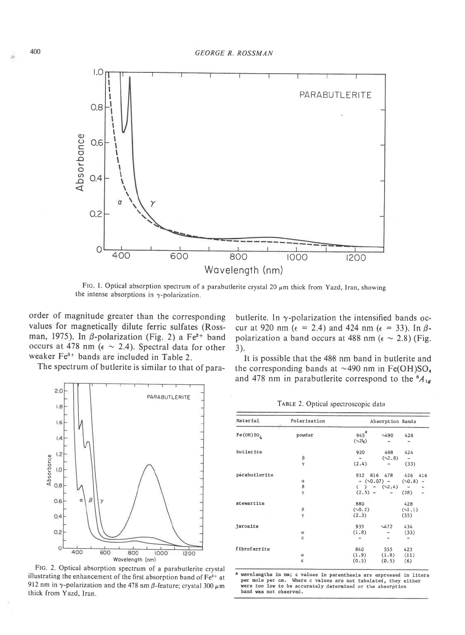

FIG. 1. Optical absorption spectrum of a parabutlerite crystal 20  $\mu$ m thick from Yazd, Iran, showing the intense absorptions in  $\gamma$ -polarization.

order of magnitude greater than the corresponding values for magnetically dilute ferric sulfates (Rossman, 1975). In  $\beta$ -polarization (Fig. 2) a Fe<sup>3+</sup> band occurs at 478 nm ( $\epsilon \sim 2.4$ ). Spectral data for other weaker Fe<sup>3+</sup> bands are included in Table 2.

The spectrum of butlerite is similar to that of para-



FIc. 2. Optical absorption spectrum of a parabutlerite crystal illustrating the enhancement of the first absorption band of  $Fe<sup>3+</sup>$  at 912 nm in  $\gamma$ -polarization and the 478 nm  $\beta$ -feature; crystal 300  $\mu$ m thick from Yazd, Iran.

butlerite. In  $\gamma$ -polarization the intensified bands occur at 920 nm ( $\epsilon$  = 2.4) and 424 nm ( $\epsilon$  = 33). In  $\beta$ polarization a band occurs at 488 nm ( $\epsilon \sim 2.8$ ) (Fig. 3).

It is possible that the 488 nm band in butlerite and the corresponding bands at  $\sim$ 490 nm in Fe(OH)SO<sub>4</sub> and 478 nm in parabutlerite correspond to the  ${}^6A_{1g}$ 

TABLE 2. Optical spectroscopic data

| Material               | Polarization | Absorption Bands        |                    |              |                          |
|------------------------|--------------|-------------------------|--------------------|--------------|--------------------------|
| Fe(OH) SO <sub>2</sub> | powder       | $945*$<br>$(\sqrt{23})$ | 0.490              | 428          |                          |
| butlerite              |              | 920                     | 488                | 424          |                          |
|                        | β            |                         | (2.8)              |              |                          |
|                        | γ            | (2.4)                   |                    | (33)         |                          |
| parabutlerite          |              |                         | 912 816 478        | 426          | 416                      |
|                        | $\alpha$     |                         | $-$ ( $0.07$ ) $-$ | $(\sim 0.8)$ | $\overline{\phantom{a}}$ |
|                        | β            |                         | $( ) - (2.4)$      |              |                          |
|                        | Υ            | $(2.5) -$               |                    | (28)         | ÷.                       |
| stewartite             |              | 880                     |                    | 428          |                          |
|                        | β            | (0.0.2)                 |                    | (1,1)        |                          |
|                        | γ            | (2.3)                   |                    | (55)         |                          |
| jarosite               |              | 933                     | 0472               | 434          |                          |
|                        | $\omega$     | (1.8)                   |                    | (33)         |                          |
|                        | ε            |                         |                    |              |                          |
| fibroferrite           |              | 840                     | 555                | 423          |                          |
|                        | ω            | (1.9)                   | (1.9)              | (11)         |                          |
|                        | ε            | (0.5)                   | (0.5)              | (6)          |                          |

\* wavelengths in mm; e values in parenthesis are expressed in liter<br>per mole per cm. Where e values are not tabulated, they either were too low to be accurately determined or the absorption band was not observed.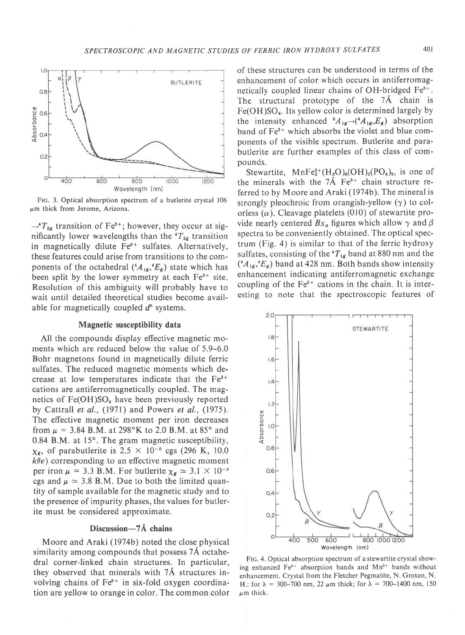

FIG. 3. Optical absorption spectrum of a butlerite crystal 106  $\mu$ m thick from Jerome, Arizona.

 $\rightarrow$ <sup>4</sup> $T_{2g}$  transition of Fe<sup>3+</sup>; however, they occur at significantly lower wavelengths than the  $T_{2g}$  transition in magnetically dilute  $Fe<sup>3+</sup>$  sulfates. Alternatively, these features could arise from transitions to the components of the octahedral  $({}^4A_{1g}, {}^4E_g)$  state which has been split by the lower symmetry at each  $Fe<sup>3+</sup>$  site. Resolution of this ambiguity will probably have to wait until detailed theoretical studies become available for magnetically coupled  $d^5$  systems.

## Magnetic susceptibility data

All the compounds display effective magnetic moments which are reduced below the value of 5.9-6.0 Bohr magnetons found in magnetically dilute ferric sulfates. The reduced magnetic moments which decrease at low temperatures indicate that the  $Fe<sup>3+</sup>$ cations are antiferromagnetically coupled. The magnetics of  $Fe(OH)SO<sub>4</sub>$  have been previously reported by Cattrall et al., (1971) and Powers et al., (1975). The effective magnetic moment per iron decreases from  $\mu = 3.84$  B.M. at 298°K to 2.0 B.M. at 85° and 0.84 B.M. at  $15^{\circ}$ . The gram magnetic susceptibility,  $\chi_{\rm g}$ , of parabutlerite is 2.5  $\times$  10<sup>-5</sup> cgs (296 K, 10.0  $k\theta e$ ) corresponding to an effective magnetic moment per iron  $\mu = 3.3$  B.M. For butlerite  $\chi_{g} \simeq 3.1 \times 10^{-5}$ cgs and  $\mu \simeq 3.8$  B.M. Due to both the limited quantity of sample available for the magnetic study and to the presence of impurity phases, the values for butlerite must be considered approximate.

#### Discussion-7Å chains

Moore and Araki (1974b) noted the close\_physical similarity among compounds that possess 7A octahedral corner-linked chain structures. In particular, they observed that minerals with 7A structures involving chains of  $Fe<sup>3+</sup>$  in six-fold oxygen coordination are yellow to orange in color. The common color

of these structures can be understood in terms of the enhancement of color which occurs in antiferromagnetically coupled linear chains of OH-bridged Fe3+. The structural prototype of the 7Å chain is  $Fe(OH)SO<sub>4</sub>$ . Its yellow color is determined largely by the intensity enhanced  $^{6}A_{1g}\rightarrow(^{4}A_{1g},E_{g})$  absorption band of Fe<sup>3+</sup> which absorbs the violet and blue components of the visible spectrum. Butlerite and parabutlerite are further examples of this class of compounds.

Stewartite,  $MnFe<sub>2</sub><sup>3+</sup>(H<sub>2</sub>O)<sub>6</sub>(OH)<sub>2</sub>(PO<sub>4</sub>)<sub>2</sub>$ , is one of the minerals with the  $7\text{\AA}$  Fe<sup>3+</sup> chain structure referred to by Moore and Araki (1974b). The mineral is strongly pleochroic from orangish-yellow  $(\gamma)$  to colorless  $(\alpha)$ . Cleavage platelets (010) of stewartite provide nearly centered  $Bx_a$  figures which allow  $\gamma$  and  $\beta$ spectra to be conveniently obtained. The optical spectrum (Fig. 4) is similar to that of the ferric hydroxy sulfates, consisting of the  ${}^{4}T_{1g}$  band at 880 nm and the  $(A_{1g}, E_{g})$  band at 428 nm. Both bands show intensity enhancement indicating antiferromagnetic exchange coupling of the  $Fe<sup>3+</sup>$  cations in the chain. It is interesting to note that the spectroscopic features of



FIG. 4. Optical absorption spectrum of a stewartite crystal showing enhanced  $Fe<sup>3+</sup>$  absorption bands and  $Mn<sup>2+</sup>$  bands without enhancement. Crystal from the Fletcher Pegmatite, N. Groton, N. H.: for  $\lambda = 300-700$  nm, 22  $\mu$ m thick; for  $\lambda = 700-1400$  nm, 150  $\mu$ m thick.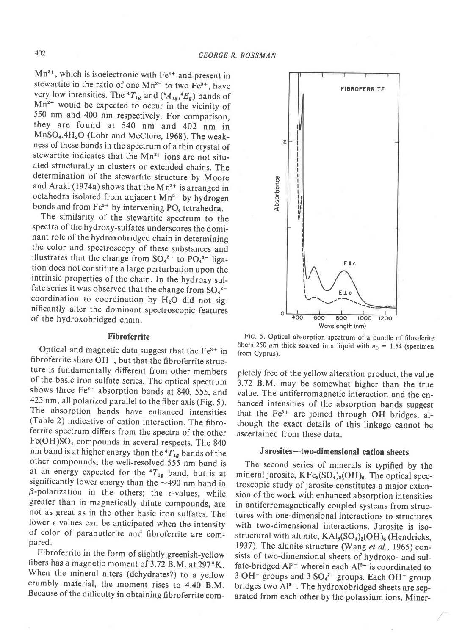$Mn^{2+}$ , which is isoelectronic with  $Fe^{3+}$  and present in stewartite in the ratio of one  $Mn^{2+}$  to two  $Fe^{3+}$ , have very low intensities. The  ${}^4T_{1g}$  and  $({}^4A_{1g},{}^4E_g)$  bands of  $Mn^{2+}$  would be expected to occur in the vicinity of 550 nm and 400 nm respectively. For comparison, they are found at 540 nm and 402 nm in MnSO<sub>4</sub>.4H<sub>2</sub>O (Lohr and McClure, 1968). The weakness of these bands in the spectrum of a thin crystal of stewartite indicates that the  $Mn^{2+}$  ions are not situated structurally in clusters or extended chains. The determination of the stewartite structure by Moore and Araki (1974a) shows that the Mn<sup>2+</sup> is arranged in octahedra isolated from adjacent  $Mn^{2+}$  by hydrogen bonds and from  $Fe<sup>3+</sup>$  by intervening PO<sub>4</sub> tetrahedra.

The similarity of the stewartite spectrum to the spectra of the hydroxy-sulfates underscores the dominant role of the hydroxobridged chain in determining the color and spectroscopy of these substances and illustrates that the change from  $SO_4^{2-}$  to  $PO_4^{3-}$  ligation does not constitute a large perturbation upon the intrinsic properties of the chain. In the hydroxy sulfate series it was observed that the change from  $SO_4^2$ coordination to coordination by  $H_2O$  did not significantly alter the dominant spectroscopic features of the hydroxobridged chain.

#### Fibroferrite

Optical and magnetic data suggest that the  $Fe<sup>3+</sup>$  in fibroferrite share  $OH^-$ , but that the fibroferrite structure is fundamentally different from other members of the basic iron sulfate series. The optical spectrum shows three  $Fe<sup>3+</sup>$  absorption bands at 840, 555, and 423 nm, all polarized parallel to the fiber axis (Fig. 5). The absorption bands have enhanced intensities (Table 2) indicative of cation interaction. The fibroferrite spectrum differs from the spectra of the other Fe(OH)SO<sub>4</sub> compounds in several respects. The 840 nm band is at higher energy than the  ${}^{4}T_{1g}$  bands of the other compounds; the well-resolved 555 nm band is at an energy expected for the  ${}^4T_{1g}$  band, but is at significantly lower energy than the  $\sim$ 490 nm band in  $\beta$ -polarization in the others; the  $\epsilon$ -values, while greater than in magnetically dilute compounds, are not as great as in the other basic iron sulfates. The lower  $\epsilon$  values can be anticipated when the intensity of color of parabutlerite and fibroferrite are compared.

Fibroferrite in the form of slightly greenish-yellow fibers has a magnetic moment of 3.72 B.M. at 297°K. When the mineral alters (dehydrates?) to a yellow crumbly material, the moment rises to 4.40 B.M. Because of the difficulty in obtaining fibroferrite com-



Flc. 5. Optical absorption spectrum of a bundle of fibroferite fibers 250  $\mu$ m thick soaked in a liquid with  $n<sub>D</sub> = 1.54$  (specimen from Cyprus).

pletely free of the yellow alteration product, the value 3.72 B.M. may be somewhat higher than the true value. The antiferromagnetic interaction and the enhanced intensities of the absorption bands suggest that the  $Fe<sup>3+</sup>$  are joined through OH bridges, although the exact details of this linkage cannot be ascertained from these data.

# Jarosites-two-dimensional cation sheets

The second series of minerals is typified by the mineral jarosite,  $KF_{3}(SO_{4})_{2}(OH)_{8}$ . The optical spectroscopic study of jarosite constitutes a major extension of the work with enhanced absorption intensities in antiferromagnetically coupled systems from structures with one-dimensional interactions to structures with two-dimensional interactions. Jarosite is isostructural with alunite,  $KAl<sub>3</sub>(SO<sub>4</sub>)<sub>2</sub>(OH)<sub>6</sub>$  (Hendricks, 1937). The alunite structure (Wang et al., 1965) consists of two-dimensional sheets of hydroxo- and sulfate-bridged  $Al^{3+}$  wherein each  $Al^{3+}$  is coordinated to  $3$  OH<sup>-</sup> groups and  $3$  SO<sub>4</sub><sup>2-</sup> groups. Each OH<sup>-</sup> group bridges two  $Al^{3+}$ . The hydroxobridged sheets are separated from each other by the potassium ions. Miner-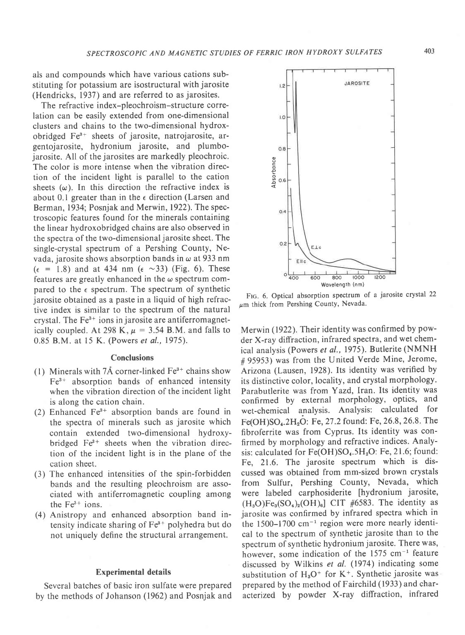als and compounds which have various cations substituting for potassium are isostructural with jarosite (Hendricks, 1937) and are referred to as jarosites.

The refractive index-pleochroism-structure correlation can be easily extended from one-dimensional clusters and chains to the two-dimensional hydroxobridged Fe'+ sheets of jarosite, natrojarosite, argentojarosite, hydronium jarosite, and plumbojarosite. All of the jarosites are markedly pleochroic. The color is more intense when the vibration direction of the incident light is parallel to the cation sheets  $(\omega)$ . In this direction the refractive index is about 0.1 greater than in the  $\epsilon$  direction (Larsen and Berman, 1934; Posnjak and Merwin,1922). The spectroscopic features found for the minerals containing the linear hydroxobridged chains are also observed in the spectra of the two-dimensional jarosite sheet. The single-crystal spectrum of a Pershing County, Nevada, jarosite shows absorption bands in  $\omega$  at 933 nm  $(\epsilon = 1.8)$  and at 434 nm  $(\epsilon \sim 33)$  (Fig. 6). These features are greatly enhanced in the  $\omega$  spectrum compared to the  $\epsilon$  spectrum. The spectrum of synthetic jarosite obtained as a paste in a liquid of high refractive index is similar to the spectrum of the natural crystal. The  $Fe<sup>3+</sup>$  ions in jarosite are antiferromagnetically coupled. At 298 K,  $\mu = 3.54$  B.M. and falls to 0.85 B.M. at 15 K. (Powers et al.,1975).

## Conclusions

- (1) Minerals with 7Å corner-linked  $Fe<sup>3+</sup>$  chains show  $Fe<sup>3+</sup>$  absorption bands of enhanced intensity when the vibration direction of the incident light is along the cation chain.
- (2) Enhanced  $Fe<sup>3+</sup>$  absorption bands are found in the spectra of minerals such as jarosite which contain extended two-dimensional hydroxybridged  $Fe<sup>3+</sup>$  sheets when the vibration direction of the incident light is in the plane of the cation sheet.
- (3) The enhanced intensities of the spin-forbidden bands and the resulting pleochroism are associated with antiferromagnetic coupling among the  $Fe<sup>3+</sup>$  ions.
- (4) Anistropy and enhanced absorption band intensity indicate sharing of  $Fe<sup>3+</sup>$  polyhedra but do not uniquely define the structural arrangement.

#### Experimental details

Several batches of basic iron sulfate were prepared by the methods of Johanson (1962) and Posnjak and

FIG. 6. Optical absorption spectrum of a jarosite crystal 22  $\mu$ m thick from Pershing County, Nevada.

Merwin (1922). Their identity was confirmed by powder X-ray diffraction, infrared spectra, and wet chemical analysis (Powers et al., 1975). Butlerite (NMNH #95953) was from the United Verde Mine, Jerome, Arizona (Lausen, 1928). Its identity was verified by its distinctive color, locality, and crystal morphology. Parabutlerite was from Yazd, Iran. Its identity was confirmed by external morphology, optics, and wet-chemical analysis. Analysis: calculated for Fe(OH)SO<sub>4</sub>.2H<sub>2</sub>O: Fe, 27.2 found: Fe, 26.8, 26.8. The fibroferrite was from Cyprus. Its identity was confirmed by morphology and refractive indices. Analysis: calculated for  $Fe(OH)SO<sub>4</sub>$ .5H<sub>2</sub>O: Fe, 21.6; found: Fe, 21.6. The jarosite spectrum which is discussed was obtained from mm-sized brown crystals from Sulfur, Pershing County, Nevada, which were labeled carphosiderite [hydronium jarosite,  $(H<sub>3</sub>O)Fe<sub>3</sub>(SO<sub>4</sub>)<sub>2</sub>(OH)<sub>6</sub>$  CIT #6583. The identity as jarosite was confirmed by infrared spectra which in the  $1500-1700$  cm<sup>-1</sup> region were more nearly identical to the spectrum of synthetic jarosite than to the spectrum of synthetic hydronium jarosite. There was, however, some indication of the 1575 cm<sup>-1</sup> feature discussed by Wilkins et al. (1974) indicating some substitution of  $H_3O^+$  for K<sup>+</sup>. Synthetic jarosite was prepared by the method of Fairchild ( 1933 ) and characterized by powder X-ray diffraction, infrared